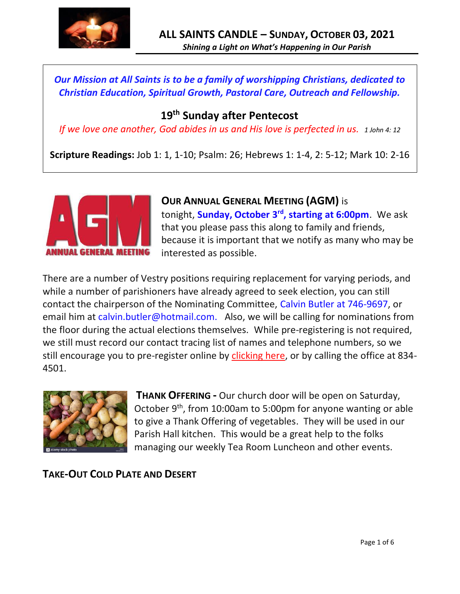

*Our Mission at All Saints is to be a family of worshipping Christians, dedicated to Christian Education, Spiritual Growth, Pastoral Care, Outreach and Fellowship.*

# **19 th Sunday after Pentecost**

*If we love one another, God abides in us and His love is perfected in us. 1 John 4: 12*

**Scripture Readings:** Job 1: 1, 1-10; Psalm: 26; Hebrews 1: 1-4, 2: 5-12; Mark 10: 2-16



**OUR ANNUAL GENERAL MEETING (AGM)** is tonight, **Sunday, October 3rd , starting at 6:00pm**. We ask that you please pass this along to family and friends, because it is important that we notify as many who may be interested as possible.

There are a number of Vestry positions requiring replacement for varying periods, and while a number of parishioners have already agreed to seek election, you can still contact the chairperson of the Nominating Committee, Calvin Butler at 746-9697, or email him at calvin.butler@hotmail.com. Also, we will be calling for nominations from the floor during the actual elections themselves. While pre-registering is not required, we still must record our contact tracing list of names and telephone numbers, so we still encourage you to pre-register online by [clicking here,](http://allsaintsparish.ca/covid-pre-registration-form_1) or by calling the office at 834- 4501.



**THANK OFFERING -** Our church door will be open on Saturday, October 9<sup>th</sup>, from 10:00am to 5:00pm for anyone wanting or able to give a Thank Offering of vegetables. They will be used in our Parish Hall kitchen. This would be a great help to the folks managing our weekly Tea Room Luncheon and other events.

**TAKE-OUT COLD PLATE AND DESERT**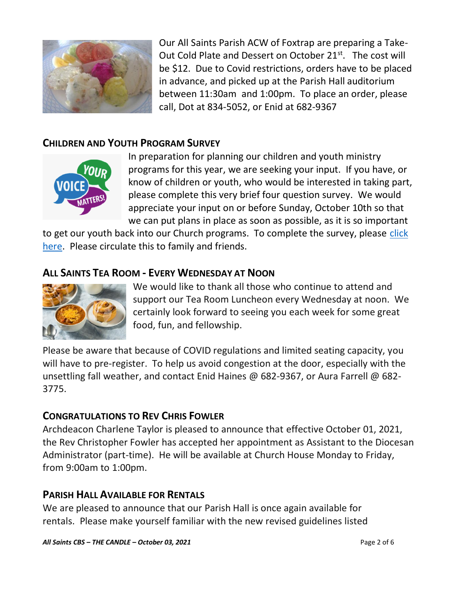

Our All Saints Parish ACW of Foxtrap are preparing a Take-Out Cold Plate and Dessert on October 21<sup>st</sup>. The cost will be \$12. Due to Covid restrictions, orders have to be placed in advance, and picked up at the Parish Hall auditorium between 11:30am and 1:00pm. To place an order, please call, Dot at 834-5052, or Enid at 682-9367

## **CHILDREN AND YOUTH PROGRAM SURVEY**



In preparation for planning our children and youth ministry programs for this year, we are seeking your input. If you have, or know of children or youth, who would be interested in taking part, please complete this very brief four question survey. We would appreciate your input on or before Sunday, October 10th so that we can put plans in place as soon as possible, as it is so important

to get our youth back into our Church programs. To complete the survey, please click [here.](https://www.surveymonkey.com/r/9Z8L59K) Please circulate this to family and friends.

## **ALL SAINTS TEA ROOM - EVERY WEDNESDAY AT NOON**



We would like to thank all those who continue to attend and support our Tea Room Luncheon every Wednesday at noon. We certainly look forward to seeing you each week for some great food, fun, and fellowship.

Please be aware that because of COVID regulations and limited seating capacity, you will have to pre-register. To help us avoid congestion at the door, especially with the unsettling fall weather, and contact Enid Haines @ 682-9367, or Aura Farrell @ 682- 3775.

#### **CONGRATULATIONS TO REV CHRIS FOWLER**

Archdeacon Charlene Taylor is pleased to announce that effective October 01, 2021, the Rev Christopher Fowler has accepted her appointment as Assistant to the Diocesan Administrator (part-time). He will be available at Church House Monday to Friday, from 9:00am to 1:00pm.

#### **PARISH HALL AVAILABLE FOR RENTALS**

We are pleased to announce that our Parish Hall is once again available for rentals. Please make yourself familiar with the new revised guidelines listed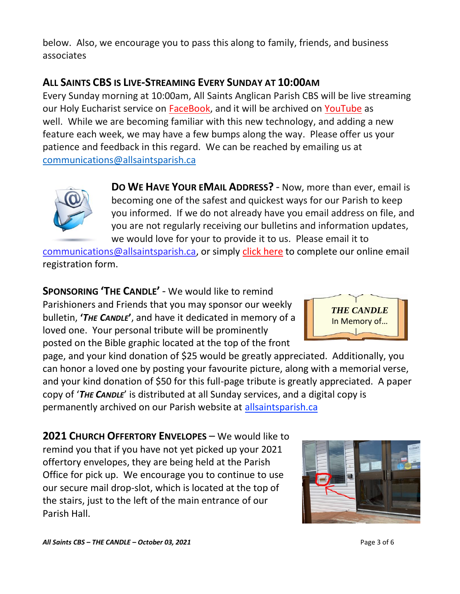below. Also, we encourage you to pass this along to family, friends, and business associates

## **ALL SAINTS CBS IS LIVE-STREAMING EVERY SUNDAY AT 10:00AM**

Every Sunday morning at 10:00am, All Saints Anglican Parish CBS will be live streaming our Holy Eucharist service on [FaceBook,](https://www.facebook.com/AllSaintsAnglicanChurchCBS) and it will be archived on [YouTube](https://www.youtube.com/results?search_query=all+saints+anglican+parish+cbs) as well. While we are becoming familiar with this new technology, and adding a new feature each week, we may have a few bumps along the way. Please offer us your patience and feedback in this regard. We can be reached by emailing us at [communications@allsaintsparish.ca](mailto:communications@allsaintsparish.ca?subject=Live%20Streaming%20Feedback)



**DO WE HAVE YOUR EMAIL ADDRESS?** - Now, more than ever, email is becoming one of the safest and quickest ways for our Parish to keep you informed. If we do not already have you email address on file, and you are not regularly receiving our bulletins and information updates, we would love for your to provide it to us. Please email it to

[communications@allsaintsparish.ca,](mailto:communications@allsaintsparish.ca?subject=eMail%20Address%20Update) or simply [click here](http://allsaintsparish.ca/email_updates) to complete our online email registration form.

**SPONSORING 'THE CANDLE'** - We would like to remind Parishioners and Friends that you may sponsor our weekly bulletin, **'***THE CANDLE***'**, and have it dedicated in memory of a loved one. Your personal tribute will be prominently posted on the Bible graphic located at the top of the front

page, and your kind donation of \$25 would be greatly appreciated. Additionally, you can honor a loved one by posting your favourite picture, along with a memorial verse, and your kind donation of \$50 for this full-page tribute is greatly appreciated. A paper copy of '*THE CANDLE*' is distributed at all Sunday services, and a digital copy is permanently archived on our Parish website at [allsaintsparish.ca](http://allsaintsparish.ca/thecandle.html)

**2021 CHURCH OFFERTORY ENVELOPES** – We would like to remind you that if you have not yet picked up your 2021 offertory envelopes, they are being held at the Parish Office for pick up. We encourage you to continue to use our secure mail drop-slot, which is located at the top of the stairs, just to the left of the main entrance of our Parish Hall.



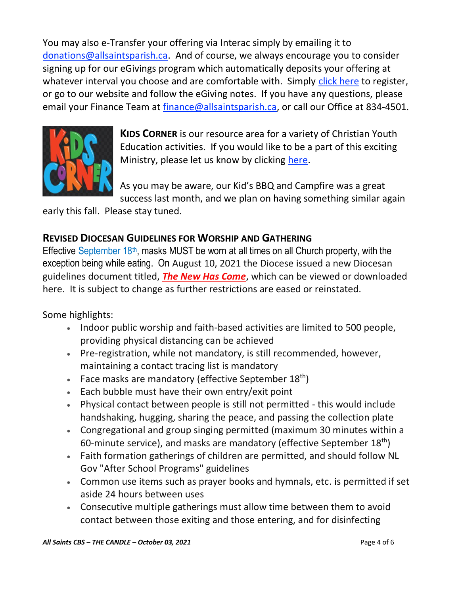You may also e-Transfer your offering via Interac simply by emailing it to [donations@allsaintsparish.ca.](mailto:donations@allsaintsparish.ca) And of course, we always encourage you to consider signing up for our eGivings program which automatically deposits your offering at whatever interval you choose and are comfortable with. Simply [click here](http://allsaintsparish.ca/egiving-online-information-form) to register, or go to our website and follow the eGiving notes. If you have [any](https://wfsites-to.websitecreatorprotool.com/870a5dd5.com/Admin/%7BSK_NODEID__22939341__SK%7D) questions, please email your Finance Team at [finance@allsaintsparish.ca,](mailto:finance@allsaintsparish.ca) or call our Office at 834-4501.



**KIDS CORNER** is our resource area for a variety of Christian Youth Education activities. If you would like to be a part of this exciting Ministry, please let us know by clicking [here.](http://allsaintsparish.ca/index.html#comments)

As you may be aware, our Kid's BBQ and Campfire was a great success last month, and we plan on having something similar again

early this fall. Please stay tuned.

#### **REVISED DIOCESAN GUIDELINES FOR WORSHIP AND GATHERING**

Effective September  $18<sup>th</sup>$ , masks MUST be worn at all times on all Church property, with the exception being while eating. On August 10, 2021 the Diocese issued a new Diocesan guidelines document titled, *[The New Has Come](https://anglicanenl.net/home/wp-content/uploads/2021/08/The-New-Has-Come-August-10-2021.pdf?fbclid=IwAR2_9nhbxB2LEc3XOqAP_nvoRu4G5Mt6NWIYwOEYNI0OtUl0atv2QwCfCY0)*, which can be viewed or downloaded here. It is subject to change as further restrictions are eased or reinstated.

Some highlights:

- Indoor public worship and faith-based activities are limited to 500 people, providing physical distancing can be achieved
- Pre-registration, while not mandatory, is still recommended, however, maintaining a contact tracing list is mandatory
- Face masks are mandatory (effective September  $18<sup>th</sup>$ )
- Each bubble must have their own entry/exit point
- Physical contact between people is still not permitted this would include handshaking, hugging, sharing the peace, and passing the collection plate
- Congregational and group singing permitted (maximum 30 minutes within a 60-minute service), and masks are mandatory (effective September  $18<sup>th</sup>$ )
- Faith formation gatherings of children are permitted, and should follow NL Gov "After School Programs" guidelines
- Common use items such as prayer books and hymnals, etc. is permitted if set aside 24 hours between uses
- Consecutive multiple gatherings must allow time between them to avoid contact between those exiting and those entering, and for disinfecting